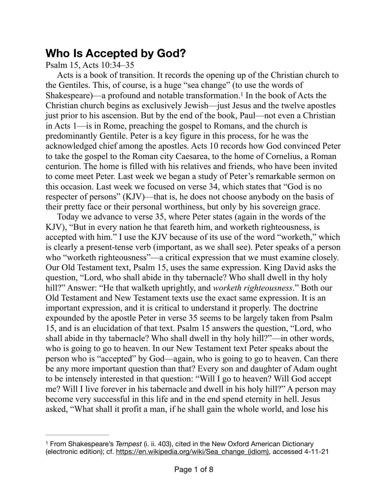## **Who Is Accepted by God?**

Psalm 15, Acts 10:34–35

<span id="page-0-1"></span>Acts is a book of transition. It records the opening up of the Christian church to the Gentiles. This, of course, is a huge "sea change" (to use the words of Shakespeare)—a profound and notable transformation.<sup>[1](#page-0-0)</sup> In the book of Acts the Christian church begins as exclusively Jewish—just Jesus and the twelve apostles just prior to his ascension. But by the end of the book, Paul—not even a Christian in Acts 1—is in Rome, preaching the gospel to Romans, and the church is predominantly Gentile. Peter is a key figure in this process, for he was the acknowledged chief among the apostles. Acts 10 records how God convinced Peter to take the gospel to the Roman city Caesarea, to the home of Cornelius, a Roman centurion. The home is filled with his relatives and friends, who have been invited to come meet Peter. Last week we began a study of Peter's remarkable sermon on this occasion. Last week we focused on verse 34, which states that "God is no respecter of persons" (KJV)—that is, he does not choose anybody on the basis of their pretty face or their personal worthiness, but only by his sovereign grace.

Today we advance to verse 35, where Peter states (again in the words of the KJV), "But in every nation he that feareth him, and worketh righteousness, is accepted with him." I use the KJV because of its use of the word "worketh," which is clearly a present-tense verb (important, as we shall see). Peter speaks of a person who "worketh righteousness"—a critical expression that we must examine closely. Our Old Testament text, Psalm 15, uses the same expression. King David asks the question, "Lord, who shall abide in thy tabernacle? Who shall dwell in thy holy hill?" Answer: "He that walketh uprightly, and *worketh righteousness*." Both our Old Testament and New Testament texts use the exact same expression. It is an important expression, and it is critical to understand it properly. The doctrine expounded by the apostle Peter in verse 35 seems to be largely taken from Psalm 15, and is an elucidation of that text. Psalm 15 answers the question, "Lord, who shall abide in thy tabernacle? Who shall dwell in thy holy hill?"—in other words, who is going to go to heaven. In our New Testament text Peter speaks about the person who is "accepted" by God—again, who is going to go to heaven. Can there be any more important question than that? Every son and daughter of Adam ought to be intensely interested in that question: "Will I go to heaven? Will God accept me? Will I live forever in his tabernacle and dwell in his holy hill?" A person may become very successful in this life and in the end spend eternity in hell. Jesus asked, "What shall it profit a man, if he shall gain the whole world, and lose his

<span id="page-0-0"></span><sup>&</sup>lt;sup>[1](#page-0-1)</sup> From Shakespeare's *Tempest* (i. ii. 403), cited in the New Oxford American Dictionary (electronic edition); cf. [https://en.wikipedia.org/wiki/Sea\\_change\\_\(idiom\)](https://en.wikipedia.org/wiki/Sea_change_(idiom)), accessed 4-11-21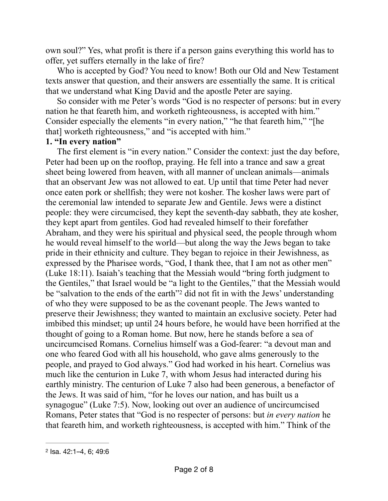own soul?" Yes, what profit is there if a person gains everything this world has to offer, yet suffers eternally in the lake of fire?

Who is accepted by God? You need to know! Both our Old and New Testament texts answer that question, and their answers are essentially the same. It is critical that we understand what King David and the apostle Peter are saying.

So consider with me Peter's words "God is no respecter of persons: but in every nation he that feareth him, and worketh righteousness, is accepted with him." Consider especially the elements "in every nation," "he that feareth him," "[he that] worketh righteousness," and "is accepted with him."

## **1. "In every nation"**

<span id="page-1-1"></span>The first element is "in every nation." Consider the context: just the day before, Peter had been up on the rooftop, praying. He fell into a trance and saw a great sheet being lowered from heaven, with all manner of unclean animals—animals that an observant Jew was not allowed to eat. Up until that time Peter had never once eaten pork or shellfish; they were not kosher. The kosher laws were part of the ceremonial law intended to separate Jew and Gentile. Jews were a distinct people: they were circumcised, they kept the seventh-day sabbath, they ate kosher, they kept apart from gentiles. God had revealed himself to their forefather Abraham, and they were his spiritual and physical seed, the people through whom he would reveal himself to the world—but along the way the Jews began to take pride in their ethnicity and culture. They began to rejoice in their Jewishness, as expressed by the Pharisee words, "God, I thank thee, that I am not as other men" (Luke 18:11). Isaiah's teaching that the Messiah would "bring forth judgment to the Gentiles," that Israel would be "a light to the Gentiles," that the Messiah would be "salvation to the ends of the earth"<sup>[2](#page-1-0)</sup> did not fit in with the Jews' understanding of who they were supposed to be as the covenant people. The Jews wanted to preserve their Jewishness; they wanted to maintain an exclusive society. Peter had imbibed this mindset; up until 24 hours before, he would have been horrified at the thought of going to a Roman home. But now, here he stands before a sea of uncircumcised Romans. Cornelius himself was a God-fearer: "a devout man and one who feared God with all his household, who gave alms generously to the people, and prayed to God always." God had worked in his heart. Cornelius was much like the centurion in Luke 7, with whom Jesus had interacted during his earthly ministry. The centurion of Luke 7 also had been generous, a benefactor of the Jews. It was said of him, "for he loves our nation, and has built us a synagogue" (Luke 7:5). Now, looking out over an audience of uncircumcised Romans, Peter states that "God is no respecter of persons: but *in every nation* he that feareth him, and worketh righteousness, is accepted with him." Think of the

<span id="page-1-0"></span>[<sup>2</sup>](#page-1-1) Isa. 42:1–4, 6; 49:6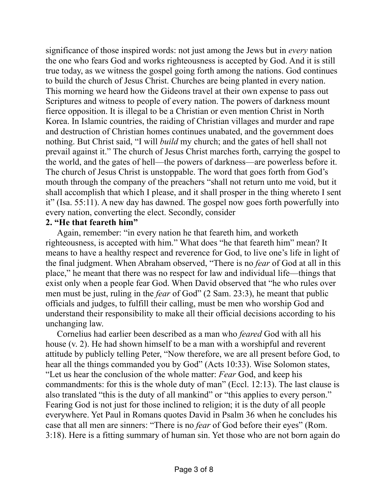significance of those inspired words: not just among the Jews but in *every* nation the one who fears God and works righteousness is accepted by God. And it is still true today, as we witness the gospel going forth among the nations. God continues to build the church of Jesus Christ. Churches are being planted in every nation. This morning we heard how the Gideons travel at their own expense to pass out Scriptures and witness to people of every nation. The powers of darkness mount fierce opposition. It is illegal to be a Christian or even mention Christ in North Korea. In Islamic countries, the raiding of Christian villages and murder and rape and destruction of Christian homes continues unabated, and the government does nothing. But Christ said, "I will *build* my church; and the gates of hell shall not prevail against it." The church of Jesus Christ marches forth, carrying the gospel to the world, and the gates of hell—the powers of darkness—are powerless before it. The church of Jesus Christ is unstoppable. The word that goes forth from God's mouth through the company of the preachers "shall not return unto me void, but it shall accomplish that which I please, and it shall prosper in the thing whereto I sent it" (Isa. 55:11). A new day has dawned. The gospel now goes forth powerfully into every nation, converting the elect. Secondly, consider

## **2. "He that feareth him"**

Again, remember: "in every nation he that feareth him, and worketh righteousness, is accepted with him." What does "he that feareth him" mean? It means to have a healthy respect and reverence for God, to live one's life in light of the final judgment. When Abraham observed, "There is no *fear* of God at all in this place," he meant that there was no respect for law and individual life—things that exist only when a people fear God. When David observed that "he who rules over men must be just, ruling in the *fear* of God" (2 Sam. 23:3), he meant that public officials and judges, to fulfill their calling, must be men who worship God and understand their responsibility to make all their official decisions according to his unchanging law.

Cornelius had earlier been described as a man who *feared* God with all his house (v. 2). He had shown himself to be a man with a worshipful and reverent attitude by publicly telling Peter, "Now therefore, we are all present before God, to hear all the things commanded you by God" (Acts 10:33). Wise Solomon states, "Let us hear the conclusion of the whole matter: *Fear* God, and keep his commandments: for this is the whole duty of man" (Eccl. 12:13). The last clause is also translated "this is the duty of all mankind" or "this applies to every person." Fearing God is not just for those inclined to religion; it is the duty of all people everywhere. Yet Paul in Romans quotes David in Psalm 36 when he concludes his case that all men are sinners: "There is no *fear* of God before their eyes" (Rom. 3:18). Here is a fitting summary of human sin. Yet those who are not born again do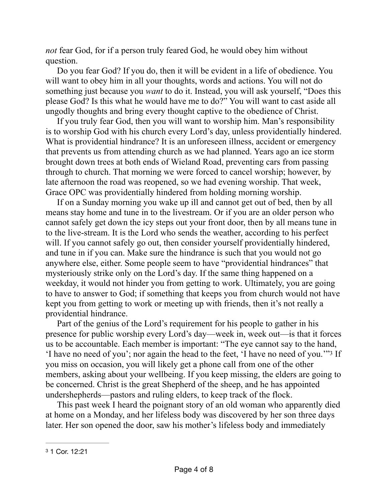*not* fear God, for if a person truly feared God, he would obey him without question.

Do you fear God? If you do, then it will be evident in a life of obedience. You will want to obey him in all your thoughts, words and actions. You will not do something just because you *want* to do it. Instead, you will ask yourself, "Does this please God? Is this what he would have me to do?" You will want to cast aside all ungodly thoughts and bring every thought captive to the obedience of Christ.

If you truly fear God, then you will want to worship him. Man's responsibility is to worship God with his church every Lord's day, unless providentially hindered. What is providential hindrance? It is an unforeseen illness, accident or emergency that prevents us from attending church as we had planned. Years ago an ice storm brought down trees at both ends of Wieland Road, preventing cars from passing through to church. That morning we were forced to cancel worship; however, by late afternoon the road was reopened, so we had evening worship. That week, Grace OPC was providentially hindered from holding morning worship.

If on a Sunday morning you wake up ill and cannot get out of bed, then by all means stay home and tune in to the livestream. Or if you are an older person who cannot safely get down the icy steps out your front door, then by all means tune in to the live-stream. It is the Lord who sends the weather, according to his perfect will. If you cannot safely go out, then consider yourself providentially hindered, and tune in if you can. Make sure the hindrance is such that you would not go anywhere else, either. Some people seem to have "providential hindrances" that mysteriously strike only on the Lord's day. If the same thing happened on a weekday, it would not hinder you from getting to work. Ultimately, you are going to have to answer to God; if something that keeps you from church would not have kept you from getting to work or meeting up with friends, then it's not really a providential hindrance.

<span id="page-3-1"></span>Part of the genius of the Lord's requirement for his people to gather in his presence for public worship every Lord's day—week in, week out—is that it forces us to be accountable. Each member is important: "The eye cannot say to the hand, 'I have no need of you'; nor again the head to the feet, 'I have no need of you.'"<sup>[3](#page-3-0)</sup> If you miss on occasion, you will likely get a phone call from one of the other members, asking about your wellbeing. If you keep missing, the elders are going to be concerned. Christ is the great Shepherd of the sheep, and he has appointed undershepherds—pastors and ruling elders, to keep track of the flock.

This past week I heard the poignant story of an old woman who apparently died at home on a Monday, and her lifeless body was discovered by her son three days later. Her son opened the door, saw his mother's lifeless body and immediately

<span id="page-3-0"></span>[<sup>3</sup>](#page-3-1) 1 Cor. 12:21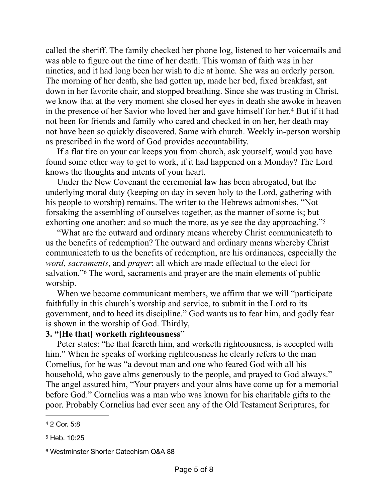called the sheriff. The family checked her phone log, listened to her voicemails and was able to figure out the time of her death. This woman of faith was in her nineties, and it had long been her wish to die at home. She was an orderly person. The morning of her death, she had gotten up, made her bed, fixed breakfast, sat down in her favorite chair, and stopped breathing. Since she was trusting in Christ, we know that at the very moment she closed her eyes in death she awoke in heaven in the presence of her Savior who loved her and gave himself for her.<sup>[4](#page-4-0)</sup> But if it had not been for friends and family who cared and checked in on her, her death may not have been so quickly discovered. Same with church. Weekly in-person worship as prescribed in the word of God provides accountability.

<span id="page-4-3"></span>If a flat tire on your car keeps you from church, ask yourself, would you have found some other way to get to work, if it had happened on a Monday? The Lord knows the thoughts and intents of your heart.

Under the New Covenant the ceremonial law has been abrogated, but the underlying moral duty (keeping on day in seven holy to the Lord, gathering with his people to worship) remains. The writer to the Hebrews admonishes, "Not forsaking the assembling of ourselves together, as the manner of some is; but exhorting one another: and so much the more, as ye see the day approaching.["5](#page-4-1)

<span id="page-4-4"></span>"What are the outward and ordinary means whereby Christ communicateth to us the benefits of redemption? The outward and ordinary means whereby Christ communicateth to us the benefits of redemption, are his ordinances, especially the *word*, *sacraments*, and *prayer*; all which are made effectual to the elect for salvation.["](#page-4-2) The word, sacraments and prayer are the main elements of public worship.

<span id="page-4-5"></span>When we become communicant members, we affirm that we will "participate faithfully in this church's worship and service, to submit in the Lord to its government, and to heed its discipline." God wants us to fear him, and godly fear is shown in the worship of God. Thirdly,

## **3. "[He that] worketh righteousness"**

Peter states: "he that feareth him, and worketh righteousness, is accepted with him." When he speaks of working righteousness he clearly refers to the man Cornelius, for he was "a devout man and one who feared God with all his household, who gave alms generously to the people, and prayed to God always." The angel assured him, "Your prayers and your alms have come up for a memorial before God." Cornelius was a man who was known for his charitable gifts to the poor. Probably Cornelius had ever seen any of the Old Testament Scriptures, for

<span id="page-4-0"></span>[<sup>4</sup>](#page-4-3) 2 Cor. 5:8

<span id="page-4-1"></span>[<sup>5</sup>](#page-4-4) Heb. 10:25

<span id="page-4-2"></span>[<sup>6</sup>](#page-4-5) Westminster Shorter Catechism Q&A 88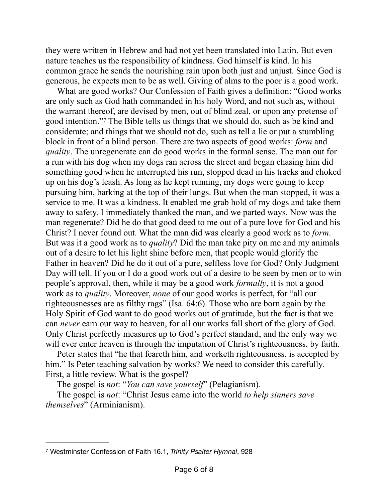they were written in Hebrew and had not yet been translated into Latin. But even nature teaches us the responsibility of kindness. God himself is kind. In his common grace he sends the nourishing rain upon both just and unjust. Since God is generous, he expects men to be as well. Giving of alms to the poor is a good work.

<span id="page-5-1"></span>What are good works? Our Confession of Faith gives a definition: "Good works are only such as God hath commanded in his holy Word, and not such as, without the warrant thereof, are devised by men, out of blind zeal, or upon any pretense of goodintention." The Bible tells us things that we should do, such as be kind and considerate; and things that we should not do, such as tell a lie or put a stumbling block in front of a blind person. There are two aspects of good works: *form* and *quality*. The unregenerate can do good works in the formal sense. The man out for a run with his dog when my dogs ran across the street and began chasing him did something good when he interrupted his run, stopped dead in his tracks and choked up on his dog's leash. As long as he kept running, my dogs were going to keep pursuing him, barking at the top of their lungs. But when the man stopped, it was a service to me. It was a kindness. It enabled me grab hold of my dogs and take them away to safety. I immediately thanked the man, and we parted ways. Now was the man regenerate? Did he do that good deed to me out of a pure love for God and his Christ? I never found out. What the man did was clearly a good work as to *form*. But was it a good work as to *quality*? Did the man take pity on me and my animals out of a desire to let his light shine before men, that people would glorify the Father in heaven? Did he do it out of a pure, selfless love for God? Only Judgment Day will tell. If you or I do a good work out of a desire to be seen by men or to win people's approval, then, while it may be a good work *formally*, it is not a good work as to *quality*. Moreover, *none* of our good works is perfect, for "all our righteousnesses are as filthy rags" (Isa. 64:6). Those who are born again by the Holy Spirit of God want to do good works out of gratitude, but the fact is that we can *never* earn our way to heaven, for all our works fall short of the glory of God. Only Christ perfectly measures up to God's perfect standard, and the only way we will ever enter heaven is through the imputation of Christ's righteousness, by faith.

Peter states that "he that feareth him, and worketh righteousness, is accepted by him." Is Peter teaching salvation by works? We need to consider this carefully. First, a little review. What is the gospel?

The gospel is *not*: "*You can save yourself*" (Pelagianism).

The gospel is *not*: "Christ Jesus came into the world *to help sinners save themselves*" (Arminianism).

<span id="page-5-0"></span>[<sup>7</sup>](#page-5-1) Westminster Confession of Faith 16.1, *Trinity Psalter Hymnal*, 928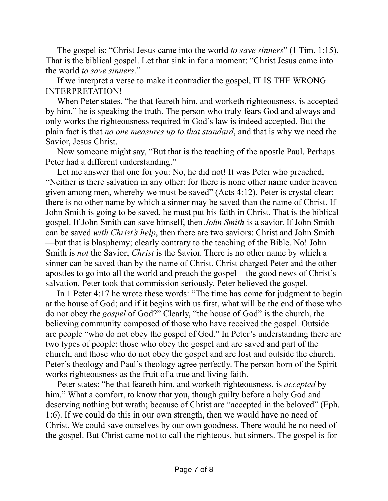The gospel is: "Christ Jesus came into the world *to save sinners*" (1 Tim. 1:15). That is the biblical gospel. Let that sink in for a moment: "Christ Jesus came into the world *to save sinners*."

If we interpret a verse to make it contradict the gospel, IT IS THE WRONG INTERPRETATION!

When Peter states, "he that feareth him, and worketh righteousness, is accepted by him," he is speaking the truth. The person who truly fears God and always and only works the righteousness required in God's law is indeed accepted. But the plain fact is that *no one measures up to that standard*, and that is why we need the Savior, Jesus Christ.

Now someone might say, "But that is the teaching of the apostle Paul. Perhaps Peter had a different understanding."

Let me answer that one for you: No, he did not! It was Peter who preached, "Neither is there salvation in any other: for there is none other name under heaven given among men, whereby we must be saved" (Acts 4:12). Peter is crystal clear: there is no other name by which a sinner may be saved than the name of Christ. If John Smith is going to be saved, he must put his faith in Christ. That is the biblical gospel. If John Smith can save himself, then *John Smith* is a savior. If John Smith can be saved *with Christ's help*, then there are two saviors: Christ and John Smith —but that is blasphemy; clearly contrary to the teaching of the Bible. No! John Smith is *not* the Savior; *Christ* is the Savior. There is no other name by which a sinner can be saved than by the name of Christ. Christ charged Peter and the other apostles to go into all the world and preach the gospel—the good news of Christ's salvation. Peter took that commission seriously. Peter believed the gospel.

In 1 Peter 4:17 he wrote these words: "The time has come for judgment to begin at the house of God; and if it begins with us first, what will be the end of those who do not obey the *gospel* of God?" Clearly, "the house of God" is the church, the believing community composed of those who have received the gospel. Outside are people "who do not obey the gospel of God." In Peter's understanding there are two types of people: those who obey the gospel and are saved and part of the church, and those who do not obey the gospel and are lost and outside the church. Peter's theology and Paul's theology agree perfectly. The person born of the Spirit works righteousness as the fruit of a true and living faith.

Peter states: "he that feareth him, and worketh righteousness, is *accepted* by him." What a comfort, to know that you, though guilty before a holy God and deserving nothing but wrath; because of Christ are "accepted in the beloved" (Eph. 1:6). If we could do this in our own strength, then we would have no need of Christ. We could save ourselves by our own goodness. There would be no need of the gospel. But Christ came not to call the righteous, but sinners. The gospel is for